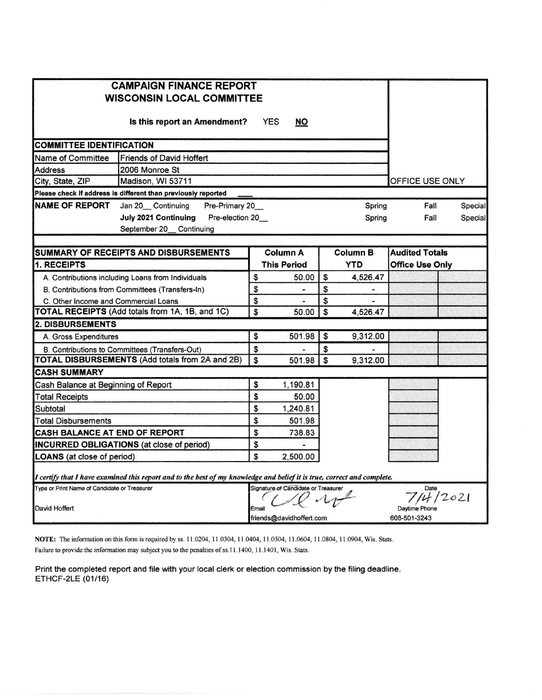| <b>CAMPAIGN FINANCE REPORT</b><br><b>WISCONSIN LOCAL COMMITTEE</b> |                                                                                                                         |       |                                     |              |               |                        |      |         |
|--------------------------------------------------------------------|-------------------------------------------------------------------------------------------------------------------------|-------|-------------------------------------|--------------|---------------|------------------------|------|---------|
|                                                                    |                                                                                                                         |       |                                     |              |               |                        |      |         |
| <b>COMMITTEE IDENTIFICATION</b>                                    |                                                                                                                         |       |                                     |              |               |                        |      |         |
| <b>Friends of David Hoffert</b><br>Name of Committee               |                                                                                                                         |       |                                     |              |               |                        |      |         |
| <b>Address</b>                                                     |                                                                                                                         |       |                                     |              |               |                        |      |         |
| City, State, ZIP                                                   | OFFICE USE ONLY                                                                                                         |       |                                     |              |               |                        |      |         |
|                                                                    | Please check if address is different than previously reported                                                           |       |                                     |              |               |                        |      |         |
| <b>NAME OF REPORT</b>                                              | Jan 20 Continuing<br>Pre-Primary 20                                                                                     |       |                                     |              | Spring        |                        | Fall | Special |
|                                                                    | <b>July 2021 Continuing</b><br>Pre-election 20_<br>September 20 Continuing                                              |       |                                     |              | Spring        |                        | Fall | Special |
|                                                                    | <b>SUMMARY OF RECEIPTS AND DISBURSEMENTS</b>                                                                            |       | <b>Column A</b>                     |              | Column B      | <b>Audited Totals</b>  |      |         |
| 1. RECEIPTS                                                        |                                                                                                                         |       | <b>This Period</b>                  |              | <b>YTD</b>    | <b>Office Use Only</b> |      |         |
|                                                                    | A. Contributions including Loans from Individuals                                                                       | \$    | 50.00                               | \$           | 4.526.47      |                        |      |         |
|                                                                    | B. Contributions from Committees (Transfers-In)                                                                         | \$    |                                     | \$           |               |                        |      |         |
| C. Other Income and Commercial Loans                               |                                                                                                                         | \$    |                                     | \$           |               |                        |      |         |
|                                                                    | TOTAL RECEIPTS (Add totals from 1A, 1B, and 1C)                                                                         | \$    | 50.00                               | $\mathsf{s}$ | 4,526.47      |                        |      |         |
| <b>2. DISBURSEMENTS</b>                                            |                                                                                                                         |       |                                     |              |               |                        |      |         |
| A. Gross Expenditures                                              |                                                                                                                         | \$    | 501.98                              | \$           | 9,312.00      |                        |      |         |
|                                                                    | B. Contributions to Committees (Transfers-Out)                                                                          | \$    |                                     | \$           |               |                        |      |         |
|                                                                    | TOTAL DISBURSEMENTS (Add totals from 2A and 2B)                                                                         | \$    | 501.98                              | \$           | 9,312.00      |                        |      |         |
| <b>CASH SUMMARY</b>                                                |                                                                                                                         |       |                                     |              |               |                        |      |         |
| Cash Balance at Beginning of Report                                |                                                                                                                         | \$    | 1,190.81                            |              |               |                        |      |         |
| <b>Total Receipts</b>                                              |                                                                                                                         | \$    | 50.00                               |              |               |                        |      |         |
| Subtotal                                                           |                                                                                                                         | \$    | 1,240.81                            |              |               |                        |      |         |
| Total Disbursements                                                |                                                                                                                         | \$    | 501.98                              |              |               |                        |      |         |
| CASH BALANCE AT END OF REPORT                                      |                                                                                                                         | \$    | 738.83                              |              |               |                        |      |         |
|                                                                    | <b>INCURRED OBLIGATIONS</b> (at close of period)                                                                        | \$    |                                     |              |               |                        |      |         |
| <b>LOANS</b> (at close of period)                                  |                                                                                                                         | \$    | 2,500.00                            |              |               |                        |      |         |
|                                                                    | I certify that I have examined this report and to the best of my knowledge and belief it is true, correct and complete. |       |                                     |              |               |                        |      |         |
| Type or Print Name of Candidate or Treasurer                       |                                                                                                                         |       | Signature of Candidate or Treasurer |              |               |                        | Date |         |
|                                                                    |                                                                                                                         |       |                                     |              | 12021         |                        |      |         |
| David Hoffert                                                      |                                                                                                                         | Email |                                     |              | Davtime Phone |                        |      |         |
| 608-501-3243<br>friends@davidhoffert.com                           |                                                                                                                         |       |                                     |              |               |                        |      |         |

NOTE: The information on this form is required by ss. 11.0204, 11.0304, 11.0404, 11.0504, 11.0604, 11.0804, 11.0904, Wis. Stats. Failure to provide the information may subject you to the penalties of ss.11.1400, 11.1401, Wis. Stats.

Print the completed report and file with your local clerk or election commission by the filing deadline. ETHCF-2LE (01/16)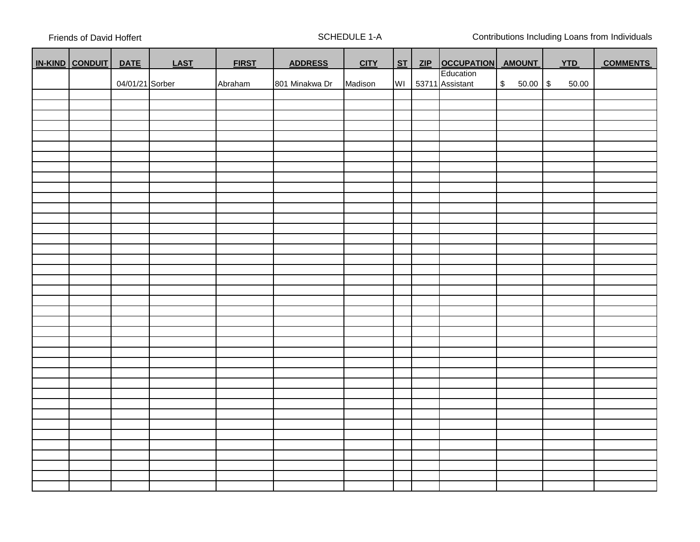Friends of David Hoffert **SCHEDULE 1-A** SCHEDULE 1-A Contributions Including Loans from Individuals

| IN-KIND CONDUIT | <b>DATE</b>     | <b>LAST</b> | <b>FIRST</b> | <b>ADDRESS</b> | <b>CITY</b> | ST | ZIP OCCUPATION AMOUNT |              | <b>YTD</b> | <b>COMMENTS</b> |  |
|-----------------|-----------------|-------------|--------------|----------------|-------------|----|-----------------------|--------------|------------|-----------------|--|
|                 |                 |             |              |                |             |    | Education             |              |            |                 |  |
|                 | 04/01/21 Sorber |             | Abraham      | 801 Minakwa Dr | Madison     | WI | 53711 Assistant       | $$50.00$ \\$ | 50.00      |                 |  |
|                 |                 |             |              |                |             |    |                       |              |            |                 |  |
|                 |                 |             |              |                |             |    |                       |              |            |                 |  |
|                 |                 |             |              |                |             |    |                       |              |            |                 |  |
|                 |                 |             |              |                |             |    |                       |              |            |                 |  |
|                 |                 |             |              |                |             |    |                       |              |            |                 |  |
|                 |                 |             |              |                |             |    |                       |              |            |                 |  |
|                 |                 |             |              |                |             |    |                       |              |            |                 |  |
|                 |                 |             |              |                |             |    |                       |              |            |                 |  |
|                 |                 |             |              |                |             |    |                       |              |            |                 |  |
|                 |                 |             |              |                |             |    |                       |              |            |                 |  |
|                 |                 |             |              |                |             |    |                       |              |            |                 |  |
|                 |                 |             |              |                |             |    |                       |              |            |                 |  |
|                 |                 |             |              |                |             |    |                       |              |            |                 |  |
|                 |                 |             |              |                |             |    |                       |              |            |                 |  |
|                 |                 |             |              |                |             |    |                       |              |            |                 |  |
|                 |                 |             |              |                |             |    |                       |              |            |                 |  |
|                 |                 |             |              |                |             |    |                       |              |            |                 |  |
|                 |                 |             |              |                |             |    |                       |              |            |                 |  |
|                 |                 |             |              |                |             |    |                       |              |            |                 |  |
|                 |                 |             |              |                |             |    |                       |              |            |                 |  |
|                 |                 |             |              |                |             |    |                       |              |            |                 |  |
|                 |                 |             |              |                |             |    |                       |              |            |                 |  |
|                 |                 |             |              |                |             |    |                       |              |            |                 |  |
|                 |                 |             |              |                |             |    |                       |              |            |                 |  |
|                 |                 |             |              |                |             |    |                       |              |            |                 |  |
|                 |                 |             |              |                |             |    |                       |              |            |                 |  |
|                 |                 |             |              |                |             |    |                       |              |            |                 |  |
|                 |                 |             |              |                |             |    |                       |              |            |                 |  |
|                 |                 |             |              |                |             |    |                       |              |            |                 |  |
|                 |                 |             |              |                |             |    |                       |              |            |                 |  |
|                 |                 |             |              |                |             |    |                       |              |            |                 |  |
|                 |                 |             |              |                |             |    |                       |              |            |                 |  |
|                 |                 |             |              |                |             |    |                       |              |            |                 |  |
|                 |                 |             |              |                |             |    |                       |              |            |                 |  |
|                 |                 |             |              |                |             |    |                       |              |            |                 |  |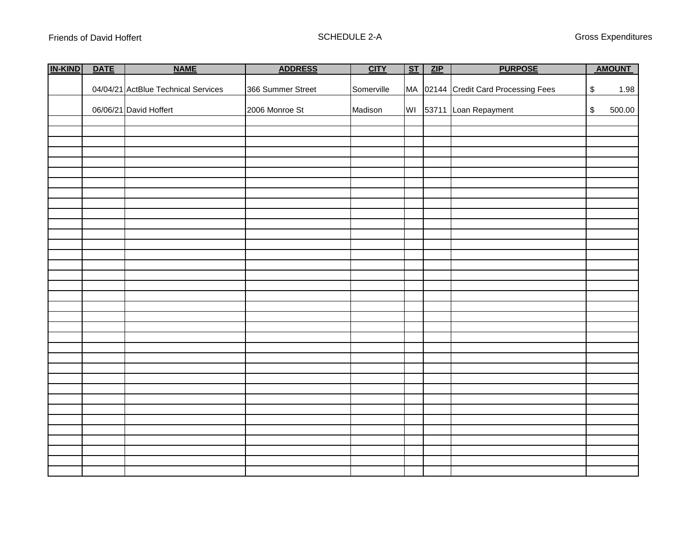| IN-KIND | <b>DATE</b> | <b>NAME</b>                         | <b>ADDRESS</b>    | <b>CITY</b> | ST | ZIP | <b>PURPOSE</b>                       |                                           | <b>AMOUNT</b> |  |
|---------|-------------|-------------------------------------|-------------------|-------------|----|-----|--------------------------------------|-------------------------------------------|---------------|--|
|         |             |                                     |                   |             |    |     |                                      |                                           |               |  |
|         |             | 04/04/21 ActBlue Technical Services | 366 Summer Street | Somerville  |    |     | MA 02144 Credit Card Processing Fees | $\,$                                      | 1.98          |  |
|         |             |                                     |                   |             |    |     |                                      |                                           |               |  |
|         |             | 06/06/21 David Hoffert              | 2006 Monroe St    | Madison     |    |     | WI 53711 Loan Repayment              | $\, \, \raisebox{12pt}{$\scriptstyle \$}$ | 500.00        |  |
|         |             |                                     |                   |             |    |     |                                      |                                           |               |  |
|         |             |                                     |                   |             |    |     |                                      |                                           |               |  |
|         |             |                                     |                   |             |    |     |                                      |                                           |               |  |
|         |             |                                     |                   |             |    |     |                                      |                                           |               |  |
|         |             |                                     |                   |             |    |     |                                      |                                           |               |  |
|         |             |                                     |                   |             |    |     |                                      |                                           |               |  |
|         |             |                                     |                   |             |    |     |                                      |                                           |               |  |
|         |             |                                     |                   |             |    |     |                                      |                                           |               |  |
|         |             |                                     |                   |             |    |     |                                      |                                           |               |  |
|         |             |                                     |                   |             |    |     |                                      |                                           |               |  |
|         |             |                                     |                   |             |    |     |                                      |                                           |               |  |
|         |             |                                     |                   |             |    |     |                                      |                                           |               |  |
|         |             |                                     |                   |             |    |     |                                      |                                           |               |  |
|         |             |                                     |                   |             |    |     |                                      |                                           |               |  |
|         |             |                                     |                   |             |    |     |                                      |                                           |               |  |
|         |             |                                     |                   |             |    |     |                                      |                                           |               |  |
|         |             |                                     |                   |             |    |     |                                      |                                           |               |  |
|         |             |                                     |                   |             |    |     |                                      |                                           |               |  |
|         |             |                                     |                   |             |    |     |                                      |                                           |               |  |
|         |             |                                     |                   |             |    |     |                                      |                                           |               |  |
|         |             |                                     |                   |             |    |     |                                      |                                           |               |  |
|         |             |                                     |                   |             |    |     |                                      |                                           |               |  |
|         |             |                                     |                   |             |    |     |                                      |                                           |               |  |
|         |             |                                     |                   |             |    |     |                                      |                                           |               |  |
|         |             |                                     |                   |             |    |     |                                      |                                           |               |  |
|         |             |                                     |                   |             |    |     |                                      |                                           |               |  |
|         |             |                                     |                   |             |    |     |                                      |                                           |               |  |
|         |             |                                     |                   |             |    |     |                                      |                                           |               |  |
|         |             |                                     |                   |             |    |     |                                      |                                           |               |  |
|         |             |                                     |                   |             |    |     |                                      |                                           |               |  |
|         |             |                                     |                   |             |    |     |                                      |                                           |               |  |
|         |             |                                     |                   |             |    |     |                                      |                                           |               |  |
|         |             |                                     |                   |             |    |     |                                      |                                           |               |  |
|         |             |                                     |                   |             |    |     |                                      |                                           |               |  |